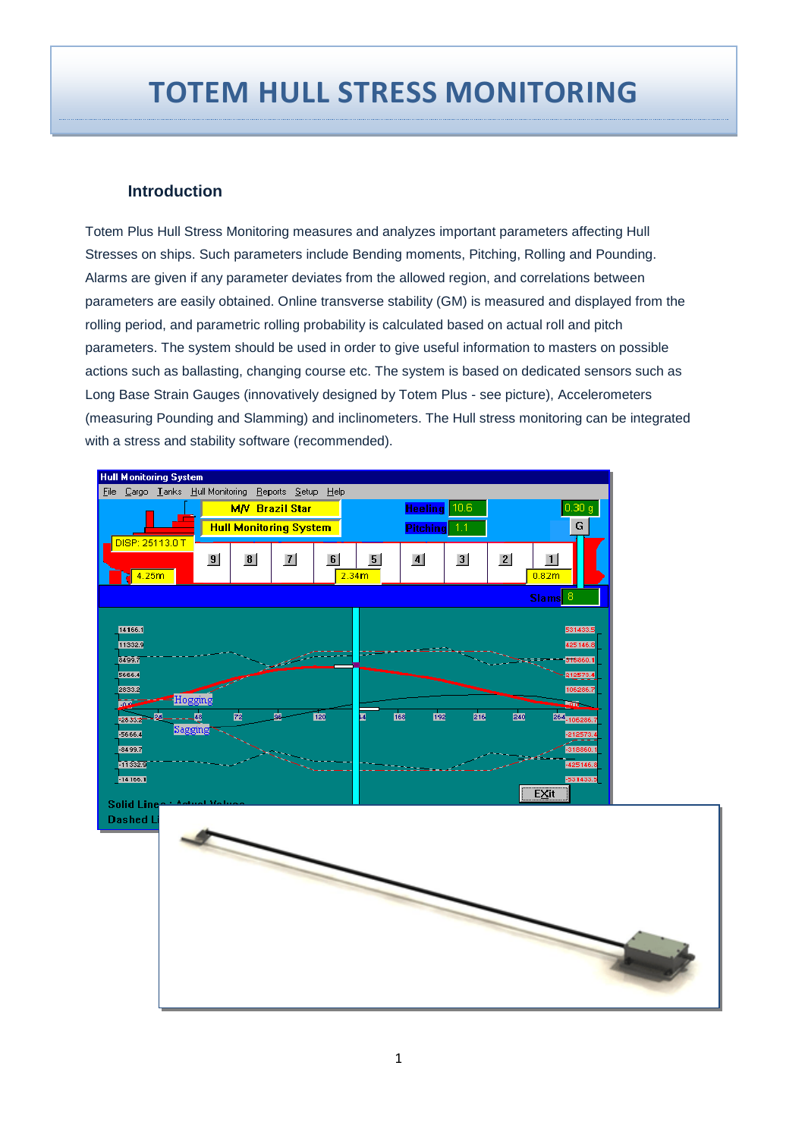# **TOTEM HULL STRESS MONITORING**

#### **Introduction**

Totem Plus Hull Stress Monitoring measures and analyzes important parameters affecting Hull Stresses on ships. Such parameters include Bending moments, Pitching, Rolling and Pounding. Alarms are given if any parameter deviates from the allowed region, and correlations between parameters are easily obtained. Online transverse stability (GM) is measured and displayed from the rolling period, and parametric rolling probability is calculated based on actual roll and pitch parameters. The system should be used in order to give useful information to masters on possible actions such as ballasting, changing course etc. The system is based on dedicated sensors such as Long Base Strain Gauges (innovatively designed by Totem Plus - see picture), Accelerometers (measuring Pounding and Slamming) and inclinometers. The Hull stress monitoring can be integrated with a stress and stability software (recommended).

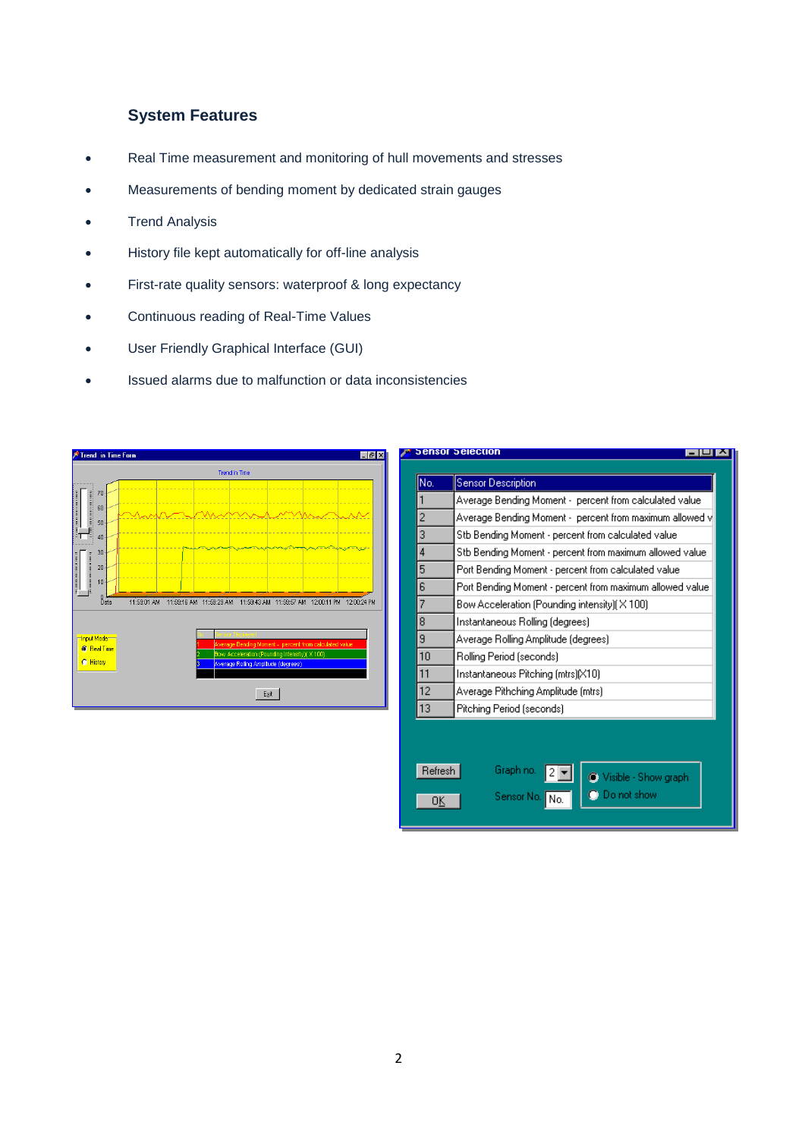## **System Features**

- Real Time measurement and monitoring of hull movements and stresses
- Measurements of bending moment by dedicated strain gauges
- **•** Trend Analysis
- History file kept automatically for off-line analysis
- First-rate quality sensors: waterproof & long expectancy
- Continuous reading of Real-Time Values
- User Friendly Graphical Interface (GUI)
- Issued alarms due to malfunction or data inconsistencies



| <b>Sensor Selection</b> |                                                          |  |  |  |  |
|-------------------------|----------------------------------------------------------|--|--|--|--|
|                         |                                                          |  |  |  |  |
| No.                     | <b>Sensor Description</b>                                |  |  |  |  |
| 1                       | Average Bending Moment - percent from calculated value.  |  |  |  |  |
| $\overline{2}$          | Average Bending Moment - percent from maximum allowed v  |  |  |  |  |
| 3                       | Stb Bending Moment - percent from calculated value       |  |  |  |  |
| 4                       | Stb Bending Moment - percent from maximum allowed value  |  |  |  |  |
| 5                       | Port Bending Moment - percent from calculated value      |  |  |  |  |
| 6                       | Port Bending Moment - percent from maximum allowed value |  |  |  |  |
| 7                       | Bow Acceleration (Pounding intensity)(X100)              |  |  |  |  |
| 8                       | Instantaneous Rolling (degrees).                         |  |  |  |  |
| 9                       | Average Rolling Amplitude (degrees)                      |  |  |  |  |
| 10                      | Rolling Period (seconds)                                 |  |  |  |  |
| 11                      | Instantaneous Pitching (mtrs)[X10]                       |  |  |  |  |
| 12                      | Average Pithching Amplitude (mtrs)                       |  |  |  |  |
| 13                      | Pitching Period (seconds)                                |  |  |  |  |
|                         |                                                          |  |  |  |  |
|                         |                                                          |  |  |  |  |
|                         |                                                          |  |  |  |  |
| Refresh                 | Graph no.<br>Visible - Show graph                        |  |  |  |  |
|                         | <b>O</b> Do not show<br>Sensor No.<br>l No.              |  |  |  |  |
|                         |                                                          |  |  |  |  |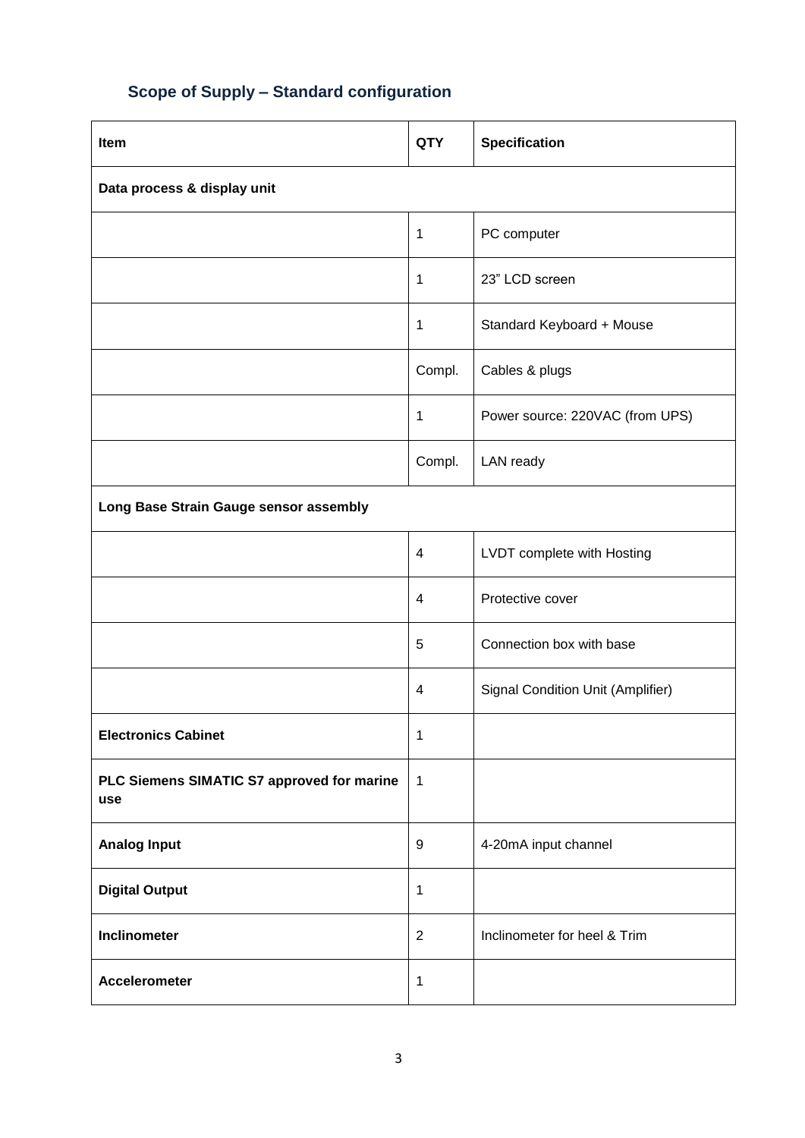# **Scope of Supply – Standard configuration**

| Item                                              | <b>QTY</b>              | <b>Specification</b>              |  |  |
|---------------------------------------------------|-------------------------|-----------------------------------|--|--|
| Data process & display unit                       |                         |                                   |  |  |
|                                                   | $\mathbf{1}$            | PC computer                       |  |  |
|                                                   | $\mathbf{1}$            | 23" LCD screen                    |  |  |
|                                                   | $\mathbf{1}$            | Standard Keyboard + Mouse         |  |  |
|                                                   | Compl.                  | Cables & plugs                    |  |  |
|                                                   | $\mathbf{1}$            | Power source: 220VAC (from UPS)   |  |  |
|                                                   | Compl.                  | LAN ready                         |  |  |
| Long Base Strain Gauge sensor assembly            |                         |                                   |  |  |
|                                                   | $\overline{4}$          | LVDT complete with Hosting        |  |  |
|                                                   | 4                       | Protective cover                  |  |  |
|                                                   | 5                       | Connection box with base          |  |  |
|                                                   | $\overline{\mathbf{4}}$ | Signal Condition Unit (Amplifier) |  |  |
| <b>Electronics Cabinet</b>                        | $\mathbf 1$             |                                   |  |  |
| PLC Siemens SIMATIC S7 approved for marine<br>use | $\mathbf{1}$            |                                   |  |  |
| <b>Analog Input</b>                               | $\boldsymbol{9}$        | 4-20mA input channel              |  |  |
| <b>Digital Output</b>                             | $\mathbf{1}$            |                                   |  |  |
| Inclinometer                                      | $\overline{2}$          | Inclinometer for heel & Trim      |  |  |
| <b>Accelerometer</b>                              | $\mathbf{1}$            |                                   |  |  |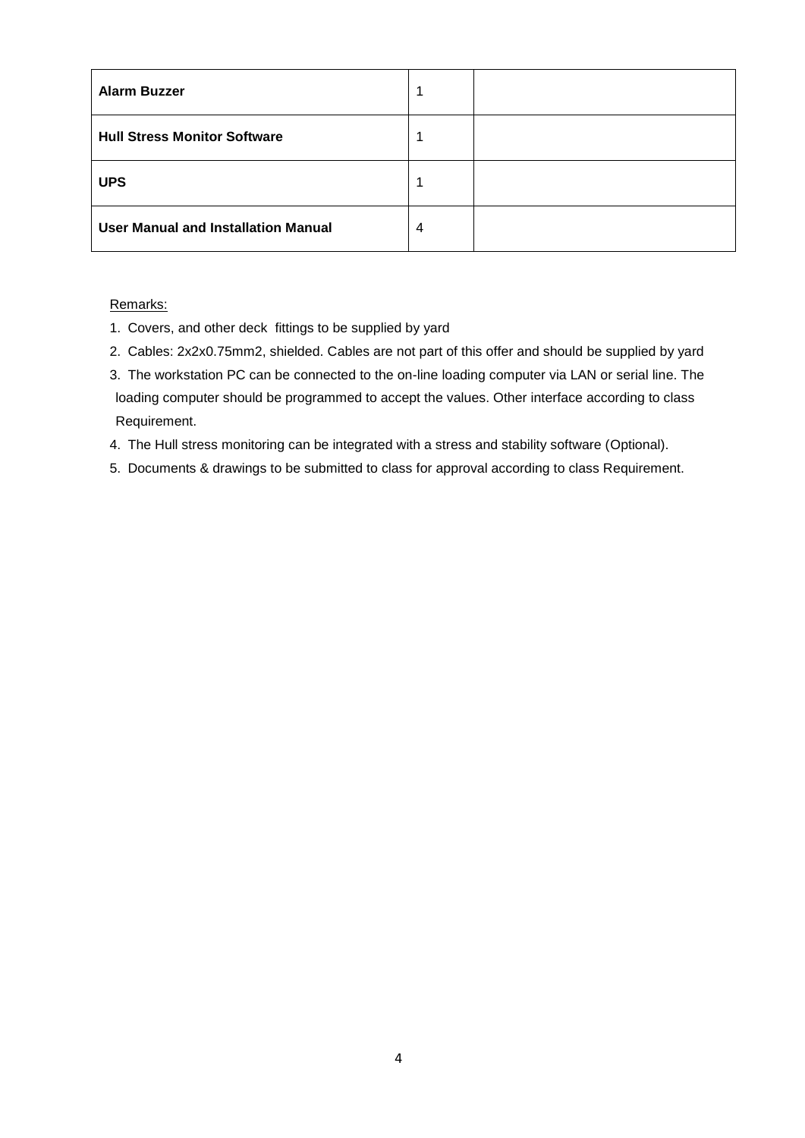| <b>Alarm Buzzer</b>                        | 1 |  |
|--------------------------------------------|---|--|
| <b>Hull Stress Monitor Software</b>        | 1 |  |
| <b>UPS</b>                                 | 1 |  |
| <b>User Manual and Installation Manual</b> | 4 |  |

#### Remarks:

- 1. Covers, and other deck fittings to be supplied by yard
- 2. Cables: 2x2x0.75mm2, shielded. Cables are not part of this offer and should be supplied by yard
- 3. The workstation PC can be connected to the on-line loading computer via LAN or serial line. The loading computer should be programmed to accept the values. Other interface according to class Requirement.
- 4. The Hull stress monitoring can be integrated with a stress and stability software (Optional).
- 5. Documents & drawings to be submitted to class for approval according to class Requirement.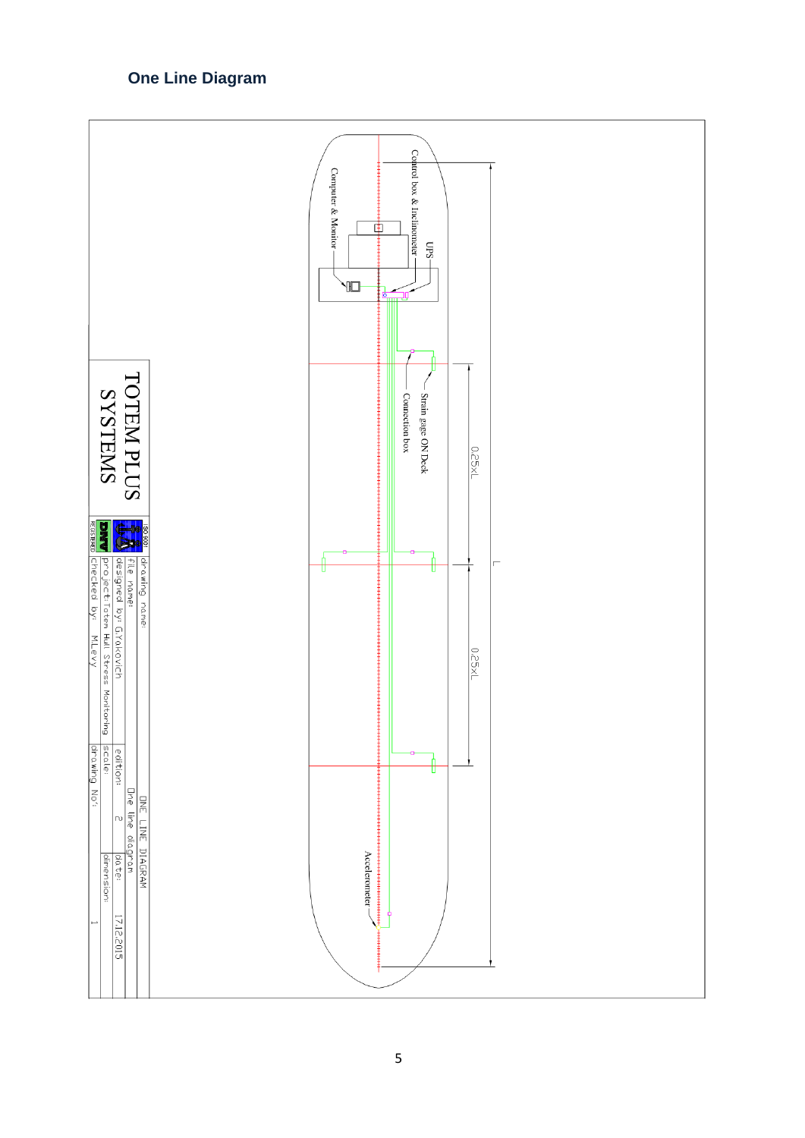# **One Line Diagram**